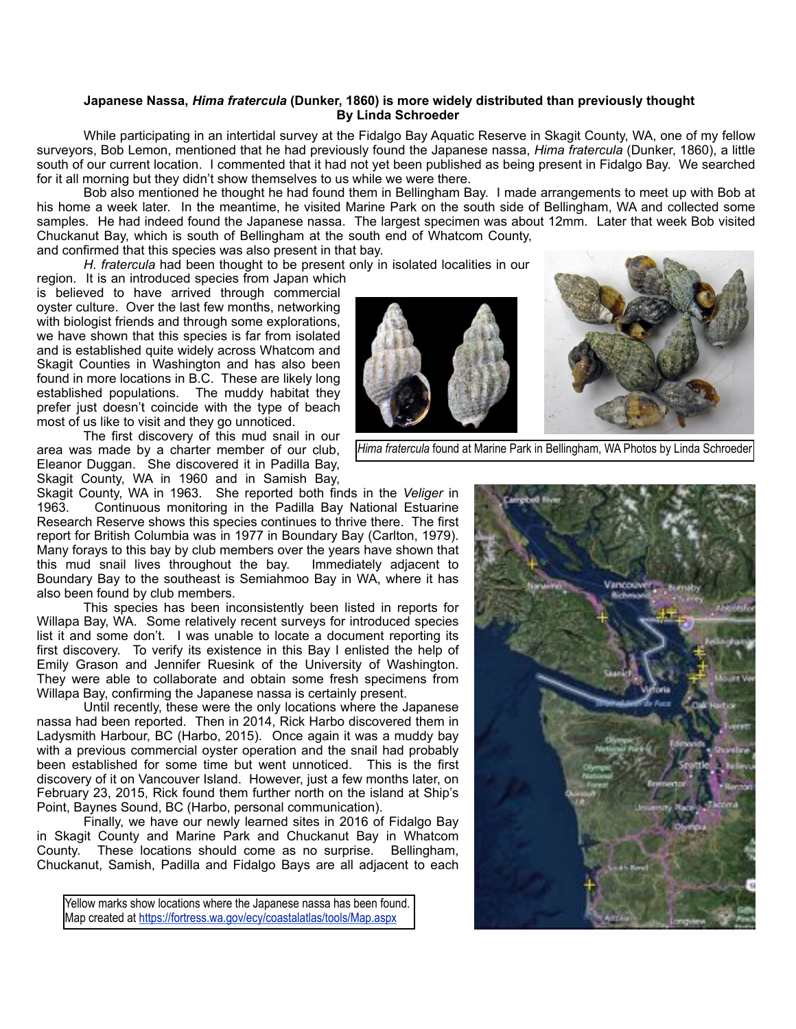## **Japanese Nassa,** *Hima fratercula* **(Dunker, 1860) is more widely distributed than previously thought By Linda Schroeder**

 While participating in an intertidal survey at the Fidalgo Bay Aquatic Reserve in Skagit County, WA, one of my fellow surveyors, Bob Lemon, mentioned that he had previously found the Japanese nassa, *Hima fratercula* (Dunker, 1860), a little south of our current location. I commented that it had not yet been published as being present in Fidalgo Bay. We searched for it all morning but they didn't show themselves to us while we were there.

 Bob also mentioned he thought he had found them in Bellingham Bay. I made arrangements to meet up with Bob at his home a week later. In the meantime, he visited Marine Park on the south side of Bellingham, WA and collected some samples. He had indeed found the Japanese nassa. The largest specimen was about 12mm. Later that week Bob visited Chuckanut Bay, which is south of Bellingham at the south end of Whatcom County, and confirmed that this species was also present in that bay.

*H. fratercula* had been thought to be present only in isolated localities in our

region. It is an introduced species from Japan which is believed to have arrived through commercial oyster culture. Over the last few months, networking with biologist friends and through some explorations, we have shown that this species is far from isolated and is established quite widely across Whatcom and Skagit Counties in Washington and has also been found in more locations in B.C. These are likely long established populations. The muddy habitat they prefer just doesn't coincide with the type of beach most of us like to visit and they go unnoticed.

 The first discovery of this mud snail in our area was made by a charter member of our club, Eleanor Duggan. She discovered it in Padilla Bay, Skagit County, WA in 1960 and in Samish Bay,



*Hima fratercula* found at Marine Park in Bellingham, WA Photos by Linda Schroeder

Skagit County, WA in 1963. She reported both finds in the *Veliger* in Continuous monitoring in the Padilla Bay National Estuarine Research Reserve shows this species continues to thrive there. The first report for British Columbia was in 1977 in Boundary Bay (Carlton, 1979). Many forays to this bay by club members over the years have shown that this mud snail lives throughout the bay. Immediately adjacent to Boundary Bay to the southeast is Semiahmoo Bay in WA, where it has also been found by club members.

 This species has been inconsistently been listed in reports for Willapa Bay, WA. Some relatively recent surveys for introduced species list it and some don't. I was unable to locate a document reporting its first discovery. To verify its existence in this Bay I enlisted the help of Emily Grason and Jennifer Ruesink of the University of Washington. They were able to collaborate and obtain some fresh specimens from Willapa Bay, confirming the Japanese nassa is certainly present.

 Until recently, these were the only locations where the Japanese nassa had been reported. Then in 2014, Rick Harbo discovered them in Ladysmith Harbour, BC (Harbo, 2015). Once again it was a muddy bay with a previous commercial oyster operation and the snail had probably been established for some time but went unnoticed. This is the first discovery of it on Vancouver Island. However, just a few months later, on February 23, 2015, Rick found them further north on the island at Ship's Point, Baynes Sound, BC (Harbo, personal communication).

 Finally, we have our newly learned sites in 2016 of Fidalgo Bay in Skagit County and Marine Park and Chuckanut Bay in Whatcom County. These locations should come as no surprise. Bellingham, Chuckanut, Samish, Padilla and Fidalgo Bays are all adjacent to each



Yellow marks show locations where the Japanese nassa has been found. Map created at<https://fortress.wa.gov/ecy/coastalatlas/tools/Map.aspx>